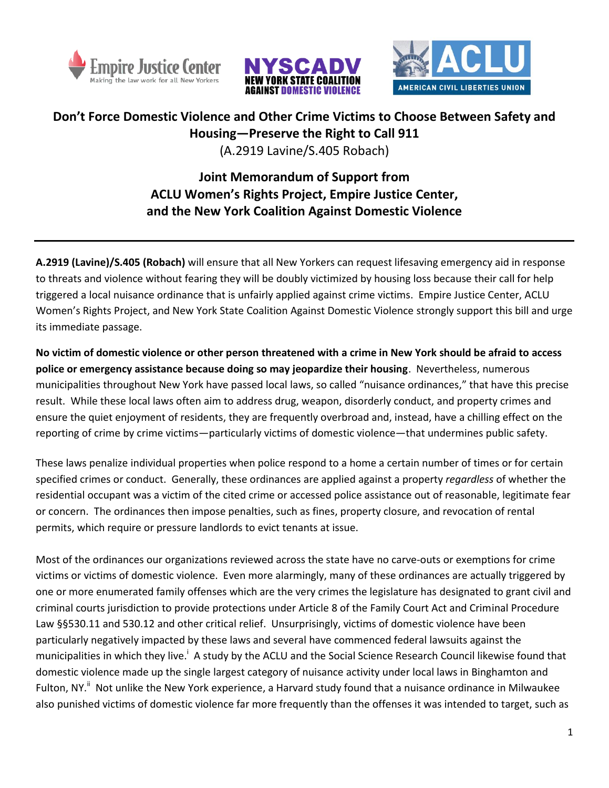





## **Don't Force Domestic Violence and Other Crime Victims to Choose Between Safety and Housing—Preserve the Right to Call 911**

(A.2919 Lavine/S.405 Robach)

## **Joint Memorandum of Support from ACLU Women's Rights Project, Empire Justice Center, and the New York Coalition Against Domestic Violence**

**A.2919 (Lavine)/S.405 (Robach)** will ensure that all New Yorkers can request lifesaving emergency aid in response to threats and violence without fearing they will be doubly victimized by housing loss because their call for help triggered a local nuisance ordinance that is unfairly applied against crime victims. Empire Justice Center, ACLU Women's Rights Project, and New York State Coalition Against Domestic Violence strongly support this bill and urge its immediate passage.

**No victim of domestic violence or other person threatened with a crime in New York should be afraid to access police or emergency assistance because doing so may jeopardize their housing**. Nevertheless, numerous municipalities throughout New York have passed local laws, so called "nuisance ordinances," that have this precise result. While these local laws often aim to address drug, weapon, disorderly conduct, and property crimes and ensure the quiet enjoyment of residents, they are frequently overbroad and, instead, have a chilling effect on the reporting of crime by crime victims—particularly victims of domestic violence—that undermines public safety.

These laws penalize individual properties when police respond to a home a certain number of times or for certain specified crimes or conduct. Generally, these ordinances are applied against a property *regardless* of whether the residential occupant was a victim of the cited crime or accessed police assistance out of reasonable, legitimate fear or concern. The ordinances then impose penalties, such as fines, property closure, and revocation of rental permits, which require or pressure landlords to evict tenants at issue.

Most of the ordinances our organizations reviewed across the state have no carve-outs or exemptions for crime victims or victims of domestic violence. Even more alarmingly, many of these ordinances are actually triggered by one or more enumerated family offenses which are the very crimes the legislature has designated to grant civil and criminal courts jurisdiction to provide protections under Article 8 of the Family Court Act and Criminal Procedure Law §§530.11 and 530.12 and other critical relief. Unsurprisingly, victims of domestic violence have been particularly negatively impacted by these laws and several have commenced federal lawsuits against the municipalities in which they live.<sup>1</sup> A study by the ACLU and the Social Science Research Council likewise found that domestic violence made up the single largest category of nuisance activity under local laws in Binghamton and Fulton, NY.<sup>ii</sup> Not unlike the New York experience, a Harvard study found that a nuisance ordinance in Milwaukee also punished victims of domestic violence far more frequently than the offenses it was intended to target, such as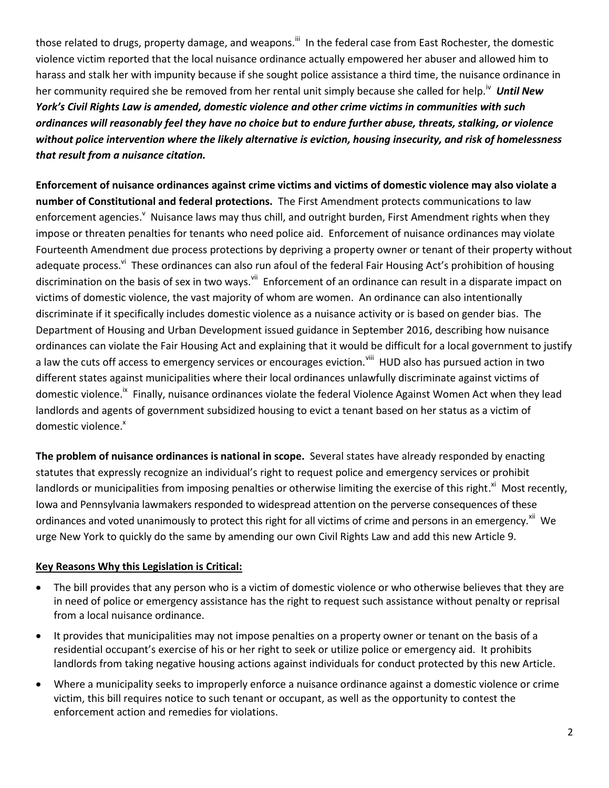those related to drugs, property damage, and weapons.<sup>iii</sup> In the federal case from East Rochester, the domestic violence victim reported that the local nuisance ordinance actually empowered her abuser and allowed him to harass and stalk her with impunity because if she sought police assistance a third time, the nuisance ordinance in her community required she be removed from her rental unit simply because she called for help.<sup>iv</sup> Until New *York's Civil Rights Law is amended, domestic violence and other crime victims in communities with such ordinances will reasonably feel they have no choice but to endure further abuse, threats, stalking, or violence without police intervention where the likely alternative is eviction, housing insecurity, and risk of homelessness that result from a nuisance citation.*

**Enforcement of nuisance ordinances against crime victims and victims of domestic violence may also violate a number of Constitutional and federal protections.** The First Amendment protects communications to law enforcement agencies.<sup>v</sup> Nuisance laws may thus chill, and outright burden, First Amendment rights when they impose or threaten penalties for tenants who need police aid. Enforcement of nuisance ordinances may violate Fourteenth Amendment due process protections by depriving a property owner or tenant of their property without adequate process.<sup>vi</sup> These ordinances can also run afoul of the federal Fair Housing Act's prohibition of housing discrimination on the basis of sex in two ways.<sup>vii</sup> Enforcement of an ordinance can result in a disparate impact on victims of domestic violence, the vast majority of whom are women. An ordinance can also intentionally discriminate if it specifically includes domestic violence as a nuisance activity or is based on gender bias. The Department of Housing and Urban Development issued guidance in September 2016, describing how nuisance ordinances can violate the Fair Housing Act and explaining that it would be difficult for a local government to justify a law the cuts off access to emergency services or encourages eviction.<sup>viii</sup> HUD also has pursued action in two different states against municipalities where their local ordinances unlawfully discriminate against victims of domestic violence.<sup>ix</sup> Finally, nuisance ordinances violate the federal Violence Against Women Act when they lead landlords and agents of government subsidized housing to evict a tenant based on her status as a victim of domestic violence.<sup>x</sup>

**The problem of nuisance ordinances is national in scope.** Several states have already responded by enacting statutes that expressly recognize an individual's right to request police and emergency services or prohibit landlords or municipalities from imposing penalties or otherwise limiting the exercise of this right.<sup>xi</sup> Most recently, Iowa and Pennsylvania lawmakers responded to widespread attention on the perverse consequences of these ordinances and voted unanimously to protect this right for all victims of crime and persons in an emergency.<sup>xii</sup> We urge New York to quickly do the same by amending our own Civil Rights Law and add this new Article 9.

## **Key Reasons Why this Legislation is Critical:**

- The bill provides that any person who is a victim of domestic violence or who otherwise believes that they are in need of police or emergency assistance has the right to request such assistance without penalty or reprisal from a local nuisance ordinance.
- It provides that municipalities may not impose penalties on a property owner or tenant on the basis of a residential occupant's exercise of his or her right to seek or utilize police or emergency aid. It prohibits landlords from taking negative housing actions against individuals for conduct protected by this new Article.
- Where a municipality seeks to improperly enforce a nuisance ordinance against a domestic violence or crime victim, this bill requires notice to such tenant or occupant, as well as the opportunity to contest the enforcement action and remedies for violations.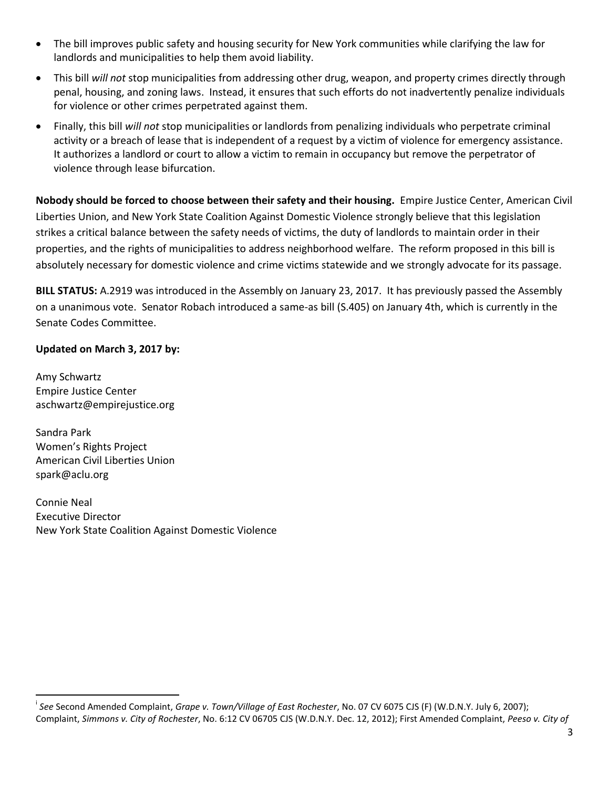- The bill improves public safety and housing security for New York communities while clarifying the law for landlords and municipalities to help them avoid liability.
- This bill *will not* stop municipalities from addressing other drug, weapon, and property crimes directly through penal, housing, and zoning laws. Instead, it ensures that such efforts do not inadvertently penalize individuals for violence or other crimes perpetrated against them.
- Finally, this bill *will not* stop municipalities or landlords from penalizing individuals who perpetrate criminal activity or a breach of lease that is independent of a request by a victim of violence for emergency assistance. It authorizes a landlord or court to allow a victim to remain in occupancy but remove the perpetrator of violence through lease bifurcation.

**Nobody should be forced to choose between their safety and their housing.** Empire Justice Center, American Civil Liberties Union, and New York State Coalition Against Domestic Violence strongly believe that this legislation strikes a critical balance between the safety needs of victims, the duty of landlords to maintain order in their properties, and the rights of municipalities to address neighborhood welfare. The reform proposed in this bill is absolutely necessary for domestic violence and crime victims statewide and we strongly advocate for its passage.

**BILL STATUS:** A.2919 was introduced in the Assembly on January 23, 2017. It has previously passed the Assembly on a unanimous vote. Senator Robach introduced a same-as bill (S.405) on January 4th, which is currently in the Senate Codes Committee.

## **Updated on March 3, 2017 by:**

Amy Schwartz Empire Justice Center aschwartz@empirejustice.org

Sandra Park Women's Rights Project American Civil Liberties Union spark@aclu.org

l

Connie Neal Executive Director New York State Coalition Against Domestic Violence

i *See* Second Amended Complaint, *Grape v. Town/Village of East Rochester*, No. 07 CV 6075 CJS (F) (W.D.N.Y. July 6, 2007); Complaint, *Simmons v. City of Rochester*, No. 6:12 CV 06705 CJS (W.D.N.Y. Dec. 12, 2012); First Amended Complaint, *Peeso v. City of*